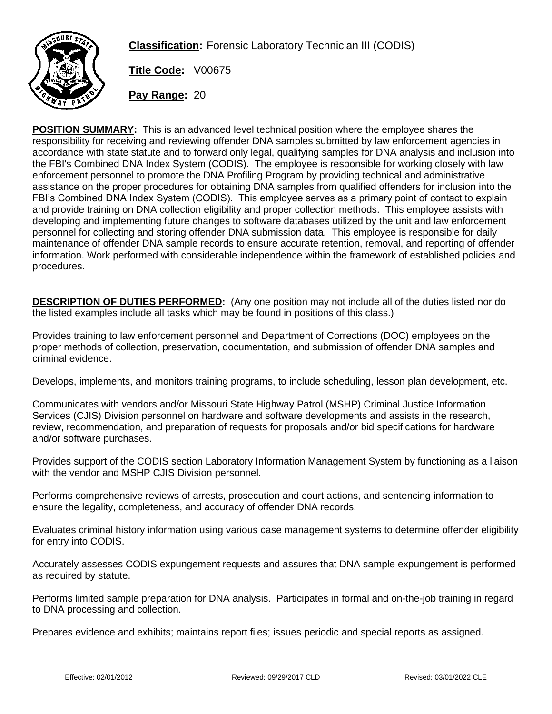

**Classification:** Forensic Laboratory Technician III (CODIS)

**Title Code:** V00675

**Pay Range:** 20

**POSITION SUMMARY:** This is an advanced level technical position where the employee shares the responsibility for receiving and reviewing offender DNA samples submitted by law enforcement agencies in accordance with state statute and to forward only legal, qualifying samples for DNA analysis and inclusion into the FBI's Combined DNA Index System (CODIS). The employee is responsible for working closely with law enforcement personnel to promote the DNA Profiling Program by providing technical and administrative assistance on the proper procedures for obtaining DNA samples from qualified offenders for inclusion into the FBI's Combined DNA Index System (CODIS). This employee serves as a primary point of contact to explain and provide training on DNA collection eligibility and proper collection methods. This employee assists with developing and implementing future changes to software databases utilized by the unit and law enforcement personnel for collecting and storing offender DNA submission data. This employee is responsible for daily maintenance of offender DNA sample records to ensure accurate retention, removal, and reporting of offender information. Work performed with considerable independence within the framework of established policies and procedures.

**DESCRIPTION OF DUTIES PERFORMED:** (Any one position may not include all of the duties listed nor do the listed examples include all tasks which may be found in positions of this class.)

Provides training to law enforcement personnel and Department of Corrections (DOC) employees on the proper methods of collection, preservation, documentation, and submission of offender DNA samples and criminal evidence.

Develops, implements, and monitors training programs, to include scheduling, lesson plan development, etc.

Communicates with vendors and/or Missouri State Highway Patrol (MSHP) Criminal Justice Information Services (CJIS) Division personnel on hardware and software developments and assists in the research, review, recommendation, and preparation of requests for proposals and/or bid specifications for hardware and/or software purchases.

Provides support of the CODIS section Laboratory Information Management System by functioning as a liaison with the vendor and MSHP CJIS Division personnel.

Performs comprehensive reviews of arrests, prosecution and court actions, and sentencing information to ensure the legality, completeness, and accuracy of offender DNA records.

Evaluates criminal history information using various case management systems to determine offender eligibility for entry into CODIS.

Accurately assesses CODIS expungement requests and assures that DNA sample expungement is performed as required by statute.

Performs limited sample preparation for DNA analysis. Participates in formal and on-the-job training in regard to DNA processing and collection.

Prepares evidence and exhibits; maintains report files; issues periodic and special reports as assigned.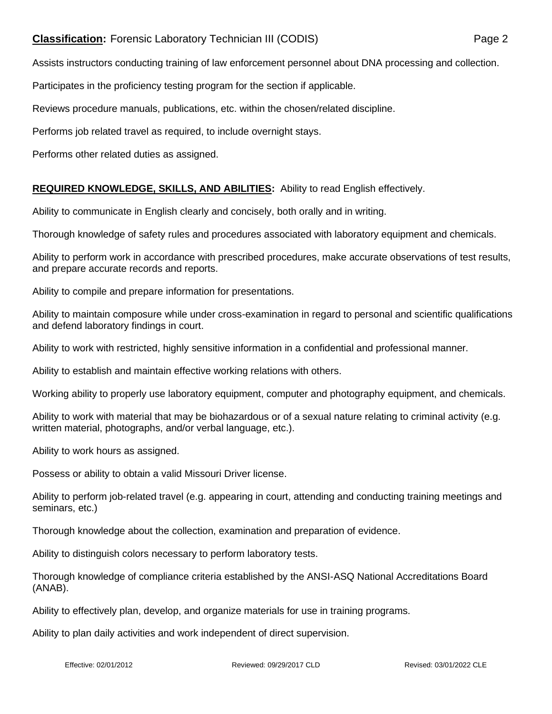## **Classification:** Forensic Laboratory Technician III (CODIS) Page 2

Assists instructors conducting training of law enforcement personnel about DNA processing and collection.

Participates in the proficiency testing program for the section if applicable.

Reviews procedure manuals, publications, etc. within the chosen/related discipline.

Performs job related travel as required, to include overnight stays.

Performs other related duties as assigned.

## **REQUIRED KNOWLEDGE, SKILLS, AND ABILITIES:** Ability to read English effectively.

Ability to communicate in English clearly and concisely, both orally and in writing.

Thorough knowledge of safety rules and procedures associated with laboratory equipment and chemicals.

Ability to perform work in accordance with prescribed procedures, make accurate observations of test results, and prepare accurate records and reports.

Ability to compile and prepare information for presentations.

Ability to maintain composure while under cross-examination in regard to personal and scientific qualifications and defend laboratory findings in court.

Ability to work with restricted, highly sensitive information in a confidential and professional manner.

Ability to establish and maintain effective working relations with others.

Working ability to properly use laboratory equipment, computer and photography equipment, and chemicals.

Ability to work with material that may be biohazardous or of a sexual nature relating to criminal activity (e.g. written material, photographs, and/or verbal language, etc.).

Ability to work hours as assigned.

Possess or ability to obtain a valid Missouri Driver license.

Ability to perform job-related travel (e.g. appearing in court, attending and conducting training meetings and seminars, etc.)

Thorough knowledge about the collection, examination and preparation of evidence.

Ability to distinguish colors necessary to perform laboratory tests.

Thorough knowledge of compliance criteria established by the ANSI-ASQ National Accreditations Board (ANAB).

Ability to effectively plan, develop, and organize materials for use in training programs.

Ability to plan daily activities and work independent of direct supervision.